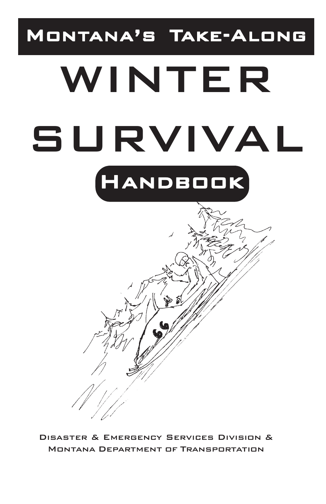# MONTANA'S TAKE-ALONG

# WINTER SURVIVAL HANDBOOK



Disaster & Emergency Services Division & Montana Department of Transportation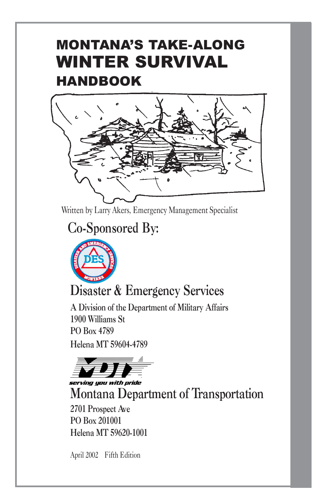# MONTANA'S TAKE-ALONG WINTER SURVIVAL HANDBOOK



Written by Larry Akers, Emergency Management Specialist

# **Co-Sponsored By:**



# **Disaster & Emergency Services**

**A Division of the Department of Military Affairs 1900 Williams St PO Box 4789 Helena MT 59604-4789**



serving you with pride

**Montana Department of Transportation**

**2701 Prospect Ave PO Box 201001 Helena MT 59620-1001**

April 2002 Fifth Edition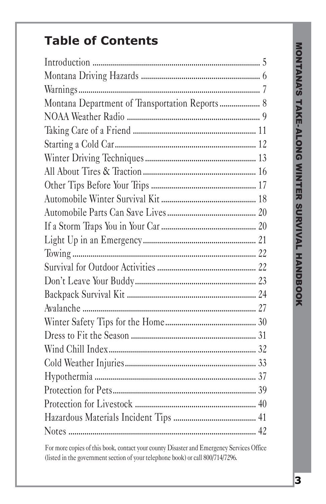# **Table of Contents**

| Montana Department of Transportation Reports 8 |
|------------------------------------------------|
|                                                |
|                                                |
|                                                |
|                                                |
|                                                |
|                                                |
|                                                |
|                                                |
|                                                |
|                                                |
|                                                |
|                                                |
|                                                |
|                                                |
|                                                |
|                                                |
|                                                |
|                                                |
|                                                |
|                                                |
|                                                |
|                                                |
|                                                |
|                                                |

For more copies of this book, contact your county Disaster and Emergency Services Office (listed in the government section of your telephone book) or call 800/714/7296.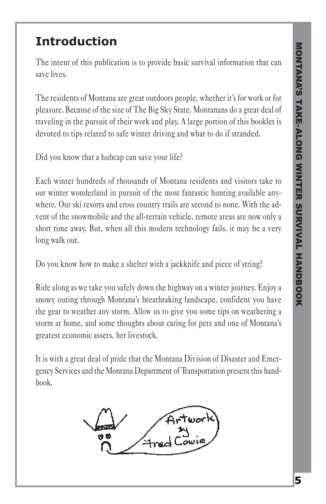#### **Introduction**

The intent of this publication is to provide basic survival information that can save lives.

The residents of Montana are great outdoors people, whether it's for work or for pleasure. Because of the size of The Big Sky State, Montanans do a great deal of traveling in the pursuit of their work and play. A large portion of this booklet is devoted to tips related to safe winter driving and what to do if stranded.

Did you know that a hubcap can save your life?

Each winter hundreds of thousands of Montana residents and visitors take to our winter wonderland in pursuit of the most fantastic hunting available anywhere. Our ski resorts and cross country trails are second to none. With the advent of the snowmobile and the all-terrain vehicle, remote areas are now only a short time away. But, when all this modern technology fails, it may be a very long walk out.

Do you know how to make a shelter with a jackknife and piece of string?

Ride along as we take you safely down the highway on a winter journey. Enjoy a snowy outing through Montana's breathtaking landscape, confident you have the gear to weather any storm. Allow us to give you some tips on weathering a storm at home, and some thoughts about caring for pets and one of Montana's greatest economic assets, her livestock.

It is with a great deal of pride that the Montana Division of Disaster and Emergency Services and the Montana Department of Transportation present this handbook.

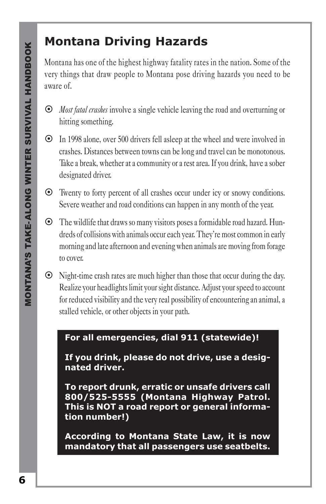#### **Montana Driving Hazards**

Montana has one of the highest highway fatality rates in the nation. Some of the very things that draw people to Montana pose driving hazards you need to be aware of.

- ~ *Most fatal crashes* involve a single vehicle leaving the road and overturning or hitting something.
- ~ In 1998 alone, over 500 drivers fell asleep at the wheel and were involved in crashes. Distances between towns can be long and travel can be monotonous. Take a break, whether at a community or a rest area. If you drink, have a sober designated driver.
- ~ Twenty to forty percent of all crashes occur under icy or snowy conditions. Severe weather and road conditions can happen in any month of the year.
- ~ The wildlife that draws so many visitors poses a formidable road hazard. Hundreds of collisions with animals occur each year. They're most common in early morning and late afternoon and evening when animals are moving from forage to cover.
- $\odot$  Night-time crash rates are much higher than those that occur during the day. Realize your headlights limit your sight distance. Adjust your speed to account for reduced visibility and the very real possibility of encountering an animal, a stalled vehicle, or other objects in your path.

#### **For all emergencies, dial 911 (statewide)!**

**If you drink, please do not drive, use a designated driver.**

**To report drunk, erratic or unsafe drivers call 800/525-5555 (Montana Highway Patrol. This is NOT a road report or general information number!)**

**According to Montana State Law, it is now mandatory that all passengers use seatbelts.**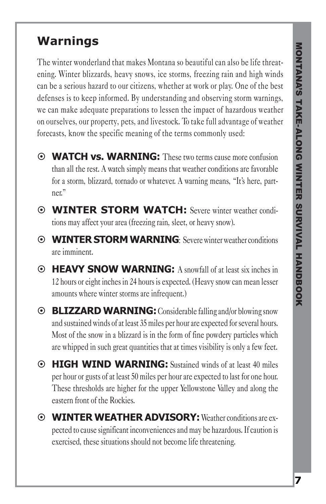#### **Warnings**

The winter wonderland that makes Montana so beautiful can also be life threatening. Winter blizzards, heavy snows, ice storms, freezing rain and high winds can be a serious hazard to our citizens, whether at work or play. One of the best defenses is to keep informed. By understanding and observing storm warnings, we can make adequate preparations to lessen the impact of hazardous weather on ourselves, our property, pets, and livestock. To take full advantage of weather forecasts, know the specific meaning of the terms commonly used:

- ~ **WATCH vs. WARNING:** These two terms cause more confusion than all the rest. A watch simply means that weather conditions are favorable for a storm, blizzard, tornado or whatever. A warning means, "It's here, partner."
- ~ **WINTER STORM WATCH:** Severe winter weather conditions may affect your area (freezing rain, sleet, or heavy snow).
- ~ **WINTER STORM WARNING**: Severe winter weather conditions are imminent.
- ~ **HEAVY SNOW WARNING:** A snowfall of at least six inches in 12 hours or eight inches in 24 hours is expected. (Heavy snow can mean lesser amounts where winter storms are infrequent.)
- ~ **BLIZZARD WARNING:** Considerable falling and/or blowing snow and sustained winds of at least 35 miles per hour are expected for several hours. Most of the snow in a blizzard is in the form of fine powdery particles which are whipped in such great quantities that at times visibility is only a few feet.
- ~ **HIGH WIND WARNING:** Sustained winds of at least 40 miles per hour or gusts of at least 50 miles per hour are expected to last for one hour. These thresholds are higher for the upper Yellowstone Valley and along the eastern front of the Rockies.
- ~ **WINTER WEATHER ADVISORY:**Weather conditions are expected to cause significant inconveniences and may be hazardous. If caution is exercised, these situations should not become life threatening.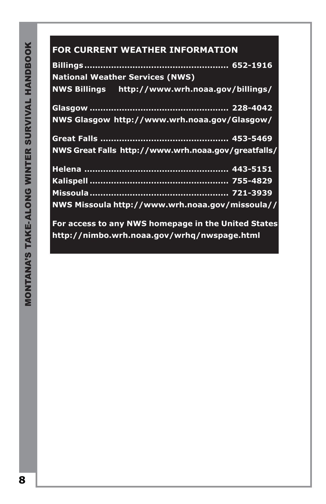#### 453-5469 **FOR CURRENT WEATHER INFORMATION**

| <b>National Weather Services (NWS)</b>              |  |
|-----------------------------------------------------|--|
| NWS Billings http://www.wrh.noaa.gov/billings/      |  |
|                                                     |  |
| NWS Glasgow http://www.wrh.noaa.gov/Glasgow/        |  |
|                                                     |  |
| NWS Great Falls http://www.wrh.noaa.gov/greatfalls/ |  |
|                                                     |  |
|                                                     |  |
|                                                     |  |
| NWS Missoula http://www.wrh.noaa.gov/missoula//     |  |
| For access to any NWS homepage in the United States |  |
| http://nimbo.wrh.noaa.gov/wrhq/nwspage.html         |  |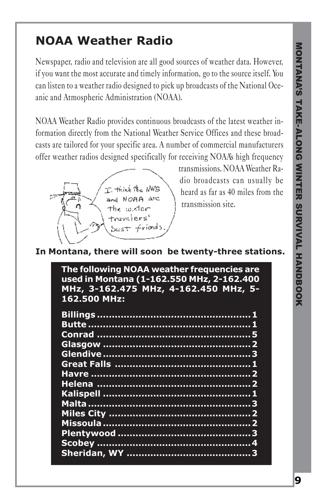#### **NOAA Weather Radio**

Newspaper, radio and television are all good sources of weather data. However, if you want the most accurate and timely information, go to the source itself. You can listen to a weather radio designed to pick up broadcasts of the National Oceanic and Atmospheric Administration (NOAA).

NOAA Weather Radio provides continuous broadcasts of the latest weather information directly from the National Weather Service Offices and these broadcasts are tailored for your specific area. A number of commercial manufacturers offer weather radios designed specifically for receiving NOAA's high frequency



transmissions. NOAA Weather Radio broadcasts can usually be heard as far as 40 miles from the transmission site.

#### **In Montana, there will soon be twenty-three stations.**

**The following NOAA weather frequencies are used in Montana (1-162.550 MHz, 2-162.400 MHz, 3-162.475 MHz, 4-162.450 MHz, 5- 162.500 MHz:**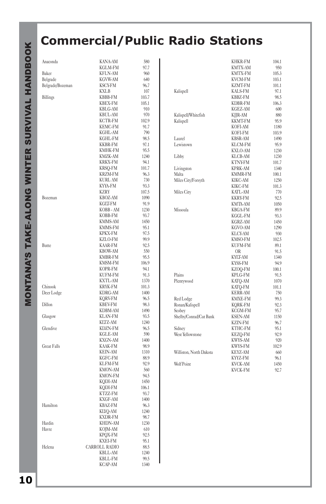# **MONTANA'S TAKE-ALONG WINTER SURVIVAL HANDBOOK** MONTANA'S TAKE-ALONG WINTER SURVIVAL HANDBOOK

# **Commercial/Public Radio Stations**

| Anaconda           | <b>KANA-AM</b>                   | 580           |
|--------------------|----------------------------------|---------------|
|                    | <b>KGLM-FM</b>                   | 97.7          |
| Baker              | <b>KFLN-AM</b>                   | 960           |
| Belgrade           | KGVW-AM<br><b>KSCY-FM</b>        | 640<br>96.7   |
| Belgrade/Bozeman   | <b>KXLB</b>                      | 107           |
| Billings           | <b>KBBB-FM</b>                   | 103.7         |
|                    | <b>KBEX-FM</b>                   | 105.1         |
|                    | <b>KBLG-AM</b>                   | 910           |
|                    | <b>KBUL-AM</b>                   | 970           |
|                    | <b>KCTR-FM</b>                   | 102.9         |
|                    | <b>KEMC-FM</b>                   | 91.7          |
|                    | <b>KGHL-AM</b><br>KGHL-FM        | 790<br>98.5   |
|                    | <b>KKBR-FM</b>                   | 97.1          |
|                    | <b>KMHK-FM</b>                   | 95.5          |
|                    | KMZK-AM                          | 1240          |
|                    | KRKX-FM                          | 94.1          |
|                    | KRSO-FM                          | 101.7         |
|                    | KRZM-FM                          | 96.3          |
|                    | <b>KURL AM</b>                   | 730           |
|                    | KYYA-FM<br><b>KZRY</b>           | 93.3<br>107.5 |
| Bozeman            | KBOZ-AM                          | 1090          |
|                    | KGLT-FM                          | 91.9          |
|                    | KOBB - AM                        | 1230          |
|                    | <b>KOBB-FM</b>                   | 93.7          |
|                    | <b>KMMS-AM</b>                   | 1450          |
|                    | KMMS-FM                          | 95.1          |
|                    | KPKX-FM                          | 97.5          |
| Butte              | KZLO-FM<br>KAAR-FM               | 99.9<br>92.5  |
|                    | <b>KBOW-AM</b>                   | 550           |
|                    | KMBR-FM                          | 95.5          |
|                    | <b>KMSM-FM</b>                   | 106.9         |
|                    | KOPR-FM                          | 94.1          |
|                    | <b>KUFM-FM</b>                   | 91.3          |
|                    | KXTL-AM                          | 1370          |
| Chinook            | <b>KRYK-FM</b>                   | 101.3<br>1400 |
| Deer Lodge         | <b>KDRG-AM</b><br>KORV-FM        | 96.5          |
| Dillon             | <b>KBEV-FM</b>                   | 98.3          |
|                    | <b>KDBM-AM</b>                   | 1490          |
| Glasgow            | KLAN-FM                          | 93.5          |
|                    | KLTZ-AM                          | 1240          |
| Glendive           | <b>KDZN-FM</b>                   | 96.5          |
|                    | <b>KGLE-AM</b>                   | 590           |
| <b>Great Falls</b> | KXGN-AM<br>KAAK-FM               | 1400<br>98.9  |
|                    | KEIN-AM                          | 1310          |
|                    | KGFC-FM                          | 88.9          |
|                    | <b>KLFM-FM</b>                   | 92.9          |
|                    | <b>KMON-AM</b>                   | 560           |
|                    | <b>KMON-FM</b>                   | 94.5          |
|                    | KQDI-AM                          | 1450          |
|                    | KQDI-FM<br>KTZZ-FM               | 106.1<br>93.7 |
|                    | <b>KXGF-AM</b>                   | 1400          |
| Hamilton           | <b>KBAZ-FM</b>                   | 96.3          |
|                    | KLYO-AM                          | 1240          |
|                    | <b>KXDR-FM</b>                   | 98.7          |
| Hardin             | KHDN-AM                          | 1230          |
| Havre              | KOJM-AM                          | 610           |
|                    | <b>KPOX-FM</b><br><b>KXEI-FM</b> | 92.5<br>95.1  |
| Helena             | <b>CARROLL RADIO</b>             | 88.5          |
|                    | <b>KBLL-AM</b>                   | 1240          |
|                    | <b>KBLL-FM</b>                   | 99.5          |
|                    | <b>KCAP-AM</b>                   | 1340          |

|                         | <b>KHKR-FM</b> | 104.1 |
|-------------------------|----------------|-------|
|                         | <b>KMTX-AM</b> | 950   |
|                         | <b>KMTX-FM</b> | 105.3 |
|                         | <b>KVCM-FM</b> | 103.1 |
|                         | <b>KZMT-FM</b> | 101.1 |
| Kalispell               | <b>KALS-FM</b> | 97.1  |
|                         | <b>KBBZ-FM</b> | 98.5  |
|                         | <b>KDBR-FM</b> | 106.3 |
|                         | <b>KGEZ-AM</b> | 600   |
| Kalispell/Whitefish     | KJJR-AM        | 880   |
| Kalispell               | <b>KKMT-FM</b> | 95.9  |
|                         | <b>KOFI-AM</b> | 1180  |
|                         | <b>KOFI-FM</b> | 103.9 |
| Laurel                  | <b>KBSR-AM</b> | 1490  |
| Lewistown               | <b>KLCM-FM</b> | 95.9  |
|                         | <b>KXLO-AM</b> | 1230  |
| Libby                   | KLCB-AM        | 1230  |
|                         | <b>KTNY-FM</b> |       |
|                         |                | 101.7 |
| Livingston              | <b>KPRK-AM</b> | 1340  |
| Malta                   | <b>KMMR-FM</b> | 100.1 |
| Miles City/Forsyth      | <b>KIKC-AM</b> | 1250  |
|                         | KIKC-FM        | 101.3 |
| Miles City              | <b>KATL-AM</b> | 770   |
|                         | <b>KKRY-FM</b> | 92.5  |
|                         | <b>KMTA-AM</b> | 1050  |
| Missoula                | <b>KBGA-FM</b> | 89.9  |
|                         | KGGL-FM        | 93.3  |
|                         | <b>KGRZ-AM</b> | 1450  |
|                         | KGVO-AM        | 1290  |
|                         | <b>KLCY-AM</b> | 930   |
|                         | <b>KMSO-FM</b> | 102.5 |
|                         | <b>KUFM-FM</b> | 89.1  |
|                         | <b>OR</b>      | 91.5  |
|                         | <b>KYIT-AM</b> | 1340  |
|                         | <b>KYSS-FM</b> | 94.9  |
|                         | KZOO-FM        | 100.1 |
| Plains                  | <b>KPLG-FM</b> | 91.5  |
| Plentywood              | KATO-AM        | 1070  |
|                         | KATO-FM        | 101.1 |
|                         | <b>KERR-AM</b> | 750   |
| Red Lodge               | <b>KMXE-FM</b> | 99.3  |
| Ronan/Kalispell         | <b>KORK-FM</b> | 92.3  |
| Scobey                  | <b>KCGM-FM</b> | 95.7  |
| Shelby/Conrad/Cut Bank  | <b>KSEN-AM</b> | 1150  |
|                         | <b>KZIN-FM</b> | 96.7  |
| Sidney                  | <b>KTHC-FM</b> | 95.1  |
| <b>West Yellowstone</b> | <b>KEZO-FM</b> | 92.9  |
|                         | <b>KWYS-AM</b> | 920   |
|                         | <b>KWYS-FM</b> | 102.9 |
| Williston, North Dakota | KEYZ-AM        | 660   |
|                         | KYYZ-FM        | 96.1  |
| WolfPoint               |                |       |
|                         | <b>KVCK-AM</b> | 1450  |
|                         | <b>KVCK-FM</b> | 92.7  |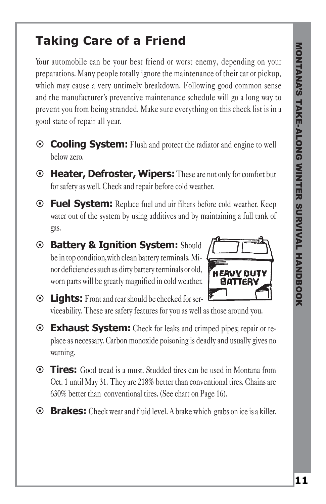#### **Taking Care of a Friend**

Your automobile can be your best friend or worst enemy, depending on your preparations. Many people totally ignore the maintenance of their car or pickup, which may cause a very untimely breakdown. Following good common sense and the manufacturer's preventive maintenance schedule will go a long way to prevent you from being stranded. Make sure everything on this check list is in a good state of repair all year.

- ~ **Cooling System:** Flush and protect the radiator and engine to well below zero.
- ~ **Heater, Defroster, Wipers:** These are not only for comfort but for safety as well. Check and repair before cold weather.
- ~ **Fuel System:** Replace fuel and air filters before cold weather. Keep water out of the system by using additives and by maintaining a full tank of gas.
- ~ **Battery & Ignition System:** Should be in top condition,with clean battery terminals. Minor deficiencies such as dirty battery terminals or old, worn parts will be greatly magnified in cold weather.



- ~ **Lights:** Front and rear should be checked for serviceability. These are safety features for you as well as those around you.
- ~ **Exhaust System:** Check for leaks and crimped pipes; repair or replace as necessary. Carbon monoxide poisoning is deadly and usually gives no warning.
- ~ **Tires:** Good tread is a must. Studded tires can be used in Montana from Oct. 1 until May 31. They are 218% better than conventional tires. Chains are 630% better than conventional tires. (See chart on Page 16).
- ~ **Brakes:** Check wear and fluid level. A brake which grabs on ice is a killer.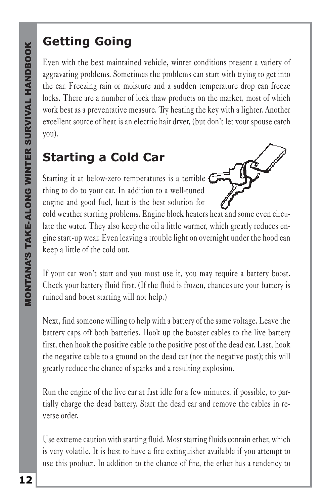# **Getting Going**

Even with the best maintained vehicle, winter conditions present a variety of aggravating problems. Sometimes the problems can start with trying to get into the car. Freezing rain or moisture and a sudden temperature drop can freeze locks. There are a number of lock thaw products on the market, most of which work best as a preventative measure. Try heating the key with a lighter. Another excellent source of heat is an electric hair dryer, (but don't let your spouse catch you).

### **Starting a Cold Car**

Starting it at below-zero temperatures is a terrible  $\epsilon$ thing to do to your car. In addition to a well-tuned engine and good fuel, heat is the best solution for



cold weather starting problems. Engine block heaters heat and some even circulate the water. They also keep the oil a little warmer, which greatly reduces engine start-up wear. Even leaving a trouble light on overnight under the hood can keep a little of the cold out.

If your car won't start and you must use it, you may require a battery boost. Check your battery fluid first. (If the fluid is frozen, chances are your battery is ruined and boost starting will not help.)

Next, find someone willing to help with a battery of the same voltage. Leave the battery caps off both batteries. Hook up the booster cables to the live battery first, then hook the positive cable to the positive post of the dead car. Last, hook the negative cable to a ground on the dead car (not the negative post); this will greatly reduce the chance of sparks and a resulting explosion.

Run the engine of the live car at fast idle for a few minutes, if possible, to partially charge the dead battery. Start the dead car and remove the cables in reverse order.

Use extreme caution with starting fluid. Most starting fluids contain ether, which is very volatile. It is best to have a fire extinguisher available if you attempt to use this product. In addition to the chance of fire, the ether has a tendency to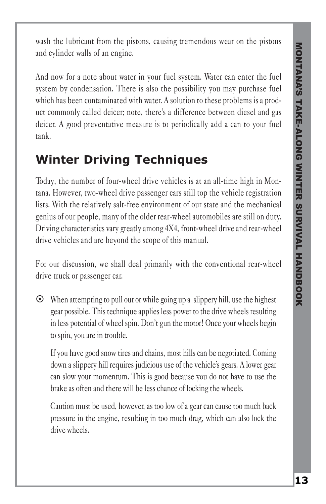wash the lubricant from the pistons, causing tremendous wear on the pistons and cylinder walls of an engine.

And now for a note about water in your fuel system. Water can enter the fuel system by condensation. There is also the possibility you may purchase fuel which has been contaminated with water. A solution to these problems is a product commonly called deicer; note, there's a difference between diesel and gas deicer. A good preventative measure is to periodically add a can to your fuel tank.

#### **Winter Driving Techniques**

Today, the number of four-wheel drive vehicles is at an all-time high in Montana. However, two-wheel drive passenger cars still top the vehicle registration lists. With the relatively salt-free environment of our state and the mechanical genius of our people, many of the older rear-wheel automobiles are still on duty. Driving characteristics vary greatly among 4X4, front-wheel drive and rear-wheel drive vehicles and are beyond the scope of this manual.

For our discussion, we shall deal primarily with the conventional rear-wheel drive truck or passenger car.

 $\odot$  When attempting to pull out or while going up a slippery hill, use the highest gear possible. This technique applies less power to the drive wheels resulting in less potential of wheel spin. Don't gun the motor! Once your wheels begin to spin, you are in trouble.

If you have good snow tires and chains, most hills can be negotiated. Coming down a slippery hill requires judicious use of the vehicle's gears. A lower gear can slow your momentum. This is good because you do not have to use the brake as often and there will be less chance of locking the wheels.

Caution must be used, however, as too low of a gear can cause too much back pressure in the engine, resulting in too much drag, which can also lock the drive wheels.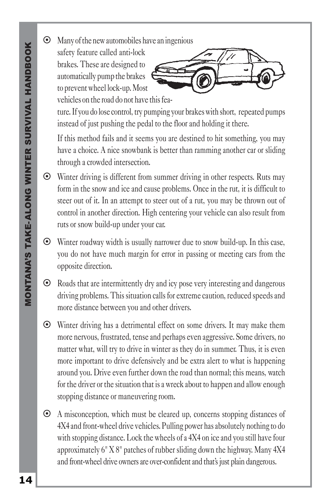$\odot$  Many of the new automobiles have an ingenious

safety feature called anti-lock brakes. These are designed to automatically pump the brakes to prevent wheel lock-up. Most vehicles on the road do not have this fea-



ture. If you do lose control, try pumping your brakes with short, repeated pumps instead of just pushing the pedal to the floor and holding it there.

If this method fails and it seems you are destined to hit something, you may have a choice. A nice snowbank is better than ramming another car or sliding through a crowded intersection.

- ~ Winter driving is different from summer driving in other respects. Ruts may form in the snow and ice and cause problems. Once in the rut, it is difficult to steer out of it. In an attempt to steer out of a rut, you may be thrown out of control in another direction. High centering your vehicle can also result from ruts or snow build-up under your car.
- ~ Winter roadway width is usually narrower due to snow build-up. In this case, you do not have much margin for error in passing or meeting cars from the opposite direction.
- $\odot$  Roads that are intermittently dry and icy pose very interesting and dangerous driving problems. This situation calls for extreme caution, reduced speeds and more distance between you and other drivers.
- ~ Winter driving has a detrimental effect on some drivers. It may make them more nervous, frustrated, tense and perhaps even aggressive. Some drivers, no matter what, will try to drive in winter as they do in summer. Thus, it is even more important to drive defensively and be extra alert to what is happening around you. Drive even further down the road than normal; this means, watch for the driver or the situation that is a wreck about to happen and allow enough stopping distance or maneuvering room.
- ~ A misconception, which must be cleared up, concerns stopping distances of 4X4 and front-wheel drive vehicles. Pulling power has absolutely nothing to do with stopping distance. Lock the wheels of a 4X4 on ice and you still have four approximately 6" X 8" patches of rubber sliding down the highway. Many 4X4 and front-wheel drive owners are over-confident and that's just plain dangerous.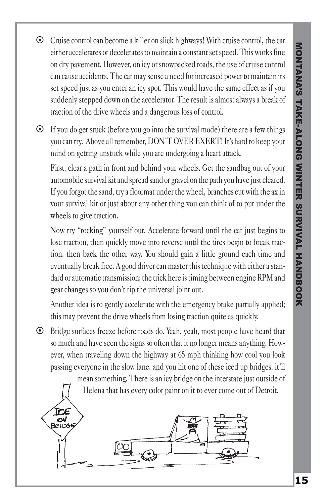~ Cruise control can become a killer on slick highways! With cruise control, the car either accelerates or decelerates to maintain a constant set speed. This works fine on dry pavement. However, on icy or snowpacked roads, the use of cruise control can cause accidents. The car may sense a need for increased power to maintain its set speed just as you enter an icy spot. This would have the same effect as if you suddenly stepped down on the accelerator. The result is almost always a break of traction of the drive wheels and a dangerous loss of control.

 $\odot$  If you do get stuck (before you go into the survival mode) there are a few things you can try. Above all remember, DON'T OVER EXERT! It's hard to keep your mind on getting unstuck while you are undergoing a heart attack.

First, clear a path in front and behind your wheels. Get the sandbag out of your automobile survival kit and spread sand or gravel on the path you have just cleared. If you forgot the sand, try a floormat under the wheel, branches cut with the ax in your survival kit or just about any other thing you can think of to put under the wheels to give traction.

Now try "rocking" yourself out. Accelerate forward until the car just begins to lose traction, then quickly move into reverse until the tires begin to break traction, then back the other way. You should gain a little ground each time and eventually break free. A good driver can master this technique with either a standard or automatic transmission; the trick here is timing between engine RPM and gear changes so you don't rip the universal joint out.

Another idea is to gently accelerate with the emergency brake partially applied; this may prevent the drive wheels from losing traction quite as quickly.

~ Bridge surfaces freeze before roads do. Yeah, yeah, most people have heard that so much and have seen the signs so often that it no longer means anything. However, when traveling down the highway at 65 mph thinking how cool you look passing everyone in the slow lane, and you hit one of these iced up bridges, it'll

**TCE ON**<br>BRIDG mean something. There is an icy bridge on the interstate just outside of Helena that has every color paint on it to ever come out of Detroit.

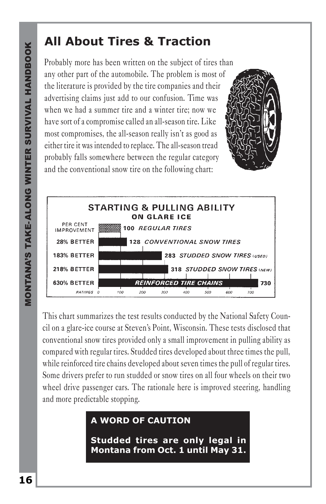#### **All About Tires & Traction**

Probably more has been written on the subject of tires than any other part of the automobile. The problem is most of the literature is provided by the tire companies and their advertising claims just add to our confusion. Time was when we had a summer tire and a winter tire; now we have sort of a compromise called an all-season tire. Like most compromises, the all-season really isn't as good as either tire it was intended to replace. The all-season tread probably falls somewhere between the regular category and the conventional snow tire on the following chart:





This chart summarizes the test results conducted by the National Safety Council on a glare-ice course at Steven's Point, Wisconsin. These tests disclosed that conventional snow tires provided only a small improvement in pulling ability as compared with regular tires. Studded tires developed about three times the pull, while reinforced tire chains developed about seven times the pull of regular tires. Some drivers prefer to run studded or snow tires on all four wheels on their two wheel drive passenger cars. The rationale here is improved steering, handling and more predictable stopping.

#### **A WORD OF CAUTION**

**Studded tires are only legal in Montana from Oct. 1 until May 31.**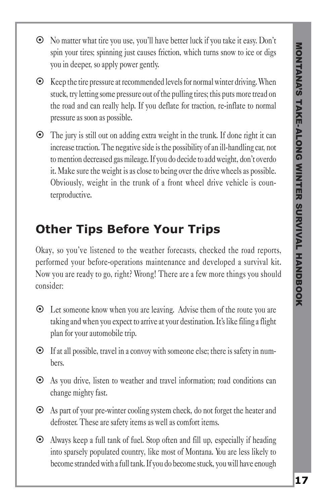- ~ No matter what tire you use, you'll have better luck if you take it easy. Don't spin your tires; spinning just causes friction, which turns snow to ice or digs you in deeper, so apply power gently.
- $\odot$  Keep the tire pressure at recommended levels for normal winter driving. When stuck, try letting some pressure out of the pulling tires; this puts more tread on the road and can really help. If you deflate for traction, re-inflate to normal pressure as soon as possible.
- $\odot$  The jury is still out on adding extra weight in the trunk. If done right it can increase traction. The negative side is the possibility of an ill-handling car, not to mention decreased gas mileage. If you do decide to add weight, don't overdo it. Make sure the weight is as close to being over the drive wheels as possible. Obviously, weight in the trunk of a front wheel drive vehicle is counterproductive.

### **Other Tips Before Your Trips**

Okay, so you've listened to the weather forecasts, checked the road reports, performed your before-operations maintenance and developed a survival kit. Now you are ready to go, right? Wrong! There are a few more things you should consider:

- ~ Let someone know when you are leaving. Advise them of the route you are taking and when you expect to arrive at your destination. It's like filing a flight plan for your automobile trip.
- ~ If at all possible, travel in a convoy with someone else; there is safety in numbers.
- ~ As you drive, listen to weather and travel information; road conditions can change mighty fast.
- ~ As part of your pre-winter cooling system check, do not forget the heater and defroster. These are safety items as well as comfort items.
- $\odot$  Always keep a full tank of fuel. Stop often and fill up, especially if heading into sparsely populated country, like most of Montana. You are less likely to become stranded with a full tank. If you do become stuck, you will have enough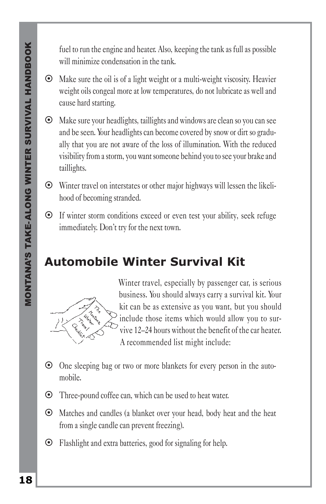fuel to run the engine and heater. Also, keeping the tank as full as possible will minimize condensation in the tank.

- $\odot$  Make sure the oil is of a light weight or a multi-weight viscosity. Heavier weight oils congeal more at low temperatures, do not lubricate as well and cause hard starting.
- ~ Make sure your headlights, taillights and windows are clean so you can see and be seen. Your headlights can become covered by snow or dirt so gradually that you are not aware of the loss of illumination. With the reduced visibility from a storm, you want someone behind you to see your brake and taillights.
- ~ Winter travel on interstates or other major highways will lessen the likelihood of becoming stranded.
- ~ If winter storm conditions exceed or even test your ability, seek refuge immediately. Don't try for the next town.

### **Automobile Winter Survival Kit**



Winter travel, especially by passenger car, is serious business. You should always carry a survival kit. Your kit can be as extensive as you want, but you should include those items which would allow you to survive 12–24 hours without the benefit of the car heater. A recommended list might include:

- ~ One sleeping bag or two or more blankets for every person in the automobile.
- ~ Three-pound coffee can, which can be used to heat water.
- ~ Matches and candles (a blanket over your head, body heat and the heat from a single candle can prevent freezing).
- ~ Flashlight and extra batteries, good for signaling for help.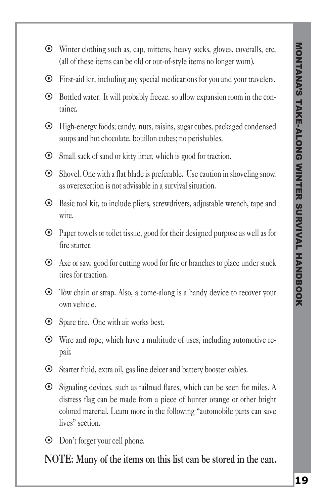- ~ Winter clothing such as, cap, mittens, heavy socks, gloves, coveralls, etc, (all of these items can be old or out-of-style items no longer worn).
- ~ First-aid kit, including any special medications for you and your travelers.
- ~ Bottled water. It will probably freeze, so allow expansion room in the container.
- ~ High-energy foods; candy, nuts, raisins, sugar cubes, packaged condensed soups and hot chocolate, bouillon cubes; no perishables.
- ~ Small sack of sand or kitty litter, which is good for traction.
- $\odot$  Shovel. One with a flat blade is preferable. Use caution in shoveling snow, as overexertion is not advisable in a survival situation.
- ~ Basic tool kit, to include pliers, screwdrivers, adjustable wrench, tape and wire.
- $\odot$  Paper towels or toilet tissue, good for their designed purpose as well as for fire starter.
- $\odot$  Axe or saw, good for cutting wood for fire or branches to place under stuck tires for traction.
- ~ Tow chain or strap. Also, a come-along is a handy device to recover your own vehicle.
- ~ Spare tire. One with air works best.
- ~ Wire and rope, which have a multitude of uses, including automotive repair.
- ~ Starter fluid, extra oil, gas line deicer and battery booster cables.
- ~ Signaling devices, such as railroad flares, which can be seen for miles. A distress flag can be made from a piece of hunter orange or other bright colored material. Learn more in the following "automobile parts can save lives" section.
- ~ Don't forget your cell phone.

**NOTE: Many of the items on this list can be stored in the can.**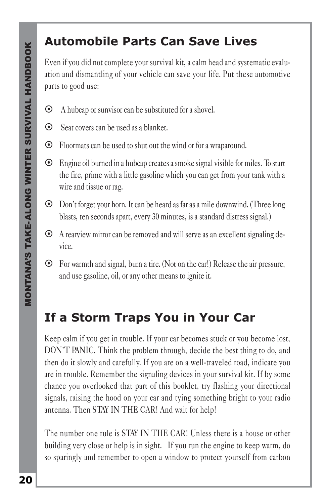#### **Automobile Parts Can Save Lives**

Even if you did not complete your survival kit, a calm head and systematic evaluation and dismantling of your vehicle can save your life. Put these automotive parts to good use:

- $\odot$  A hubcap or sunvisor can be substituted for a shovel.
- ~ Seat covers can be used as a blanket.
- ~ Floormats can be used to shut out the wind or for a wraparound.
- ~ Engine oil burned in a hubcap creates a smoke signal visible for miles. To start the fire, prime with a little gasoline which you can get from your tank with a wire and tissue or rag.
- ~ Don't forget your horn. It can be heard as far as a mile downwind. (Three long blasts, ten seconds apart, every 30 minutes, is a standard distress signal.)
- ~ A rearview mirror can be removed and will serve as an excellent signaling device.
- ~ For warmth and signal, burn a tire. (Not on the car!) Release the air pressure, and use gasoline, oil, or any other means to ignite it.

#### **If a Storm Traps You in Your Car**

Keep calm if you get in trouble. If your car becomes stuck or you become lost, DON'T PANIC. Think the problem through, decide the best thing to do, and then do it slowly and carefully. If you are on a well-traveled road, indicate you are in trouble. Remember the signaling devices in your survival kit. If by some chance you overlooked that part of this booklet, try flashing your directional signals, raising the hood on your car and tying something bright to your radio antenna. Then STAY IN THE CAR! And wait for help!

The number one rule is STAY IN THE CAR! Unless there is a house or other building very close or help is in sight. If you run the engine to keep warm, do so sparingly and remember to open a window to protect yourself from carbon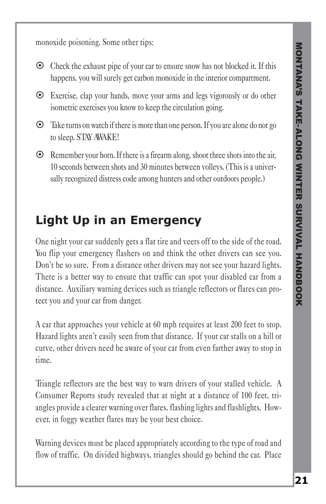monoxide poisoning. Some other tips:

- $\odot$  Check the exhaust pipe of your car to ensure snow has not blocked it. If this happens, you will surely get carbon monoxide in the interior compartment.
- ~ Exercise, clap your hands, move your arms and legs vigorously or do other isometric exercises you know to keep the circulation going.
- $\odot$  Take turns on watch if there is more than one person. If you are alone do not go to sleep. STAY AWAKE!
- $\odot$  Remember your horn. If there is a firearm along, shoot three shots into the air, 10 seconds between shots and 30 minutes between volleys. (This is a universally recognized distress code among hunters and other outdoors people.)

#### **Light Up in an Emergency**

One night your car suddenly gets a flat tire and veers off to the side of the road. You flip your emergency flashers on and think the other drivers can see you. Don't be so sure. From a distance other drivers may not see your hazard lights. There is a better way to ensure that traffic can spot your disabled car from a distance. Auxiliary warning devices such as triangle reflectors or flares can protect you and your car from danger.

A car that approaches your vehicle at 60 mph requires at least 200 feet to stop. Hazard lights aren't easily seen from that distance. If your car stalls on a hill or curve, other drivers need be aware of your car from even farther away to stop in time.

Triangle reflectors are the best way to warn drivers of your stalled vehicle. A Consumer Reports study revealed that at night at a distance of 100 feet, triangles provide a clearer warning over flares, flashing lights and flashlights. However, in foggy weather flares may be your best choice.

Warning devices must be placed appropriately according to the type of road and flow of traffic. On divided highways, triangles should go behind the car. Place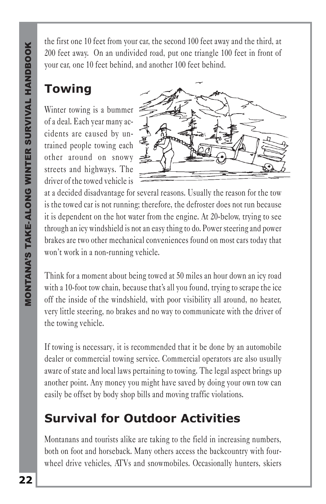the first one 10 feet from your car, the second 100 feet away and the third, at 200 feet away. On an undivided road, put one triangle 100 feet in front of your car, one 10 feet behind, and another 100 feet behind.

# **Towing**

Winter towing is a bummer of a deal. Each year many accidents are caused by untrained people towing each other around on snowy streets and highways. The driver of the towed vehicle is



at a decided disadvantage for several reasons. Usually the reason for the tow is the towed car is not running; therefore, the defroster does not run because it is dependent on the hot water from the engine. At 20-below, trying to see through an icy windshield is not an easy thing to do. Power steering and power brakes are two other mechanical conveniences found on most cars today that won't work in a non-running vehicle.

Think for a moment about being towed at 50 miles an hour down an icy road with a 10-foot tow chain, because that's all you found, trying to scrape the ice off the inside of the windshield, with poor visibility all around, no heater, very little steering, no brakes and no way to communicate with the driver of the towing vehicle.

If towing is necessary, it is recommended that it be done by an automobile dealer or commercial towing service. Commercial operators are also usually aware of state and local laws pertaining to towing. The legal aspect brings up another point. Any money you might have saved by doing your own tow can easily be offset by body shop bills and moving traffic violations.

# **Survival for Outdoor Activities**

Montanans and tourists alike are taking to the field in increasing numbers, both on foot and horseback. Many others access the backcountry with fourwheel drive vehicles, ATVs and snowmobiles. Occasionally hunters, skiers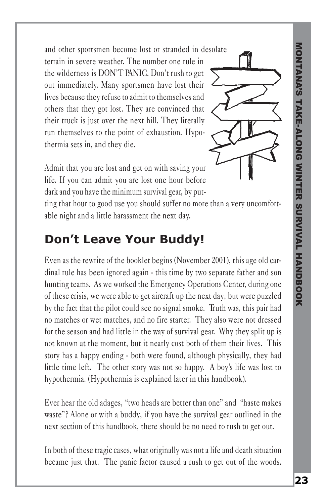and other sportsmen become lost or stranded in desolate terrain in severe weather. The number one rule in the wilderness is DON'T PANIC. Don't rush to get out immediately. Many sportsmen have lost their lives because they refuse to admit to themselves and others that they got lost. They are convinced that their truck is just over the next hill. They literally run themselves to the point of exhaustion. Hypothermia sets in, and they die.



Admit that you are lost and get on with saving your life. If you can admit you are lost one hour before dark and you have the minimum survival gear, by put-

ting that hour to good use you should suffer no more than a very uncomfortable night and a little harassment the next day.

#### **Don't Leave Your Buddy!**

Even as the rewrite of the booklet begins (November 2001), this age old cardinal rule has been ignored again - this time by two separate father and son hunting teams. As we worked the Emergency Operations Center, during one of these crisis, we were able to get aircraft up the next day, but were puzzled by the fact that the pilot could see no signal smoke. Truth was, this pair had no matches or wet matches, and no fire starter. They also were not dressed for the season and had little in the way of survival gear. Why they split up is not known at the moment, but it nearly cost both of them their lives. This story has a happy ending - both were found, although physically, they had little time left. The other story was not so happy. A boy's life was lost to hypothermia. (Hypothermia is explained later in this handbook).

Ever hear the old adages, "two heads are better than one" and "haste makes waste"? Alone or with a buddy, if you have the survival gear outlined in the next section of this handbook, there should be no need to rush to get out.

In both of these tragic cases, what originally was not a life and death situation became just that. The panic factor caused a rush to get out of the woods.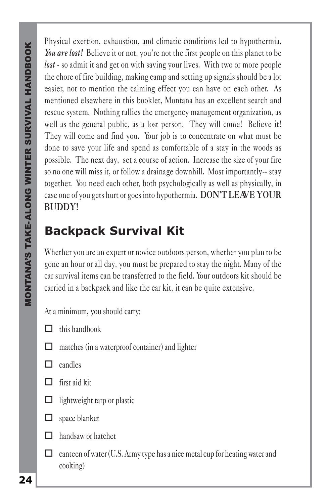Physical exertion, exhaustion, and climatic conditions led to hypothermia. *You are lost!* Believe it or not, you're not the first people on this planet to be *lost* - so admit it and get on with saving your lives. With two or more people the chore of fire building, making camp and setting up signals should be a lot easier, not to mention the calming effect you can have on each other. As mentioned elsewhere in this booklet, Montana has an excellent search and rescue system. Nothing rallies the emergency management organization, as well as the general public, as a lost person. They will come! Believe it! They will come and find you. Your job is to concentrate on what must be done to save your life and spend as comfortable of a stay in the woods as possible. The next day, set a course of action. Increase the size of your fire so no one will miss it, or follow a drainage downhill. Most importantly-- stay together. You need each other, both psychologically as well as physically, in case one of you gets hurt or goes into hypothermia. **DON'T LEAVE YOUR BUDDY!**

# **Backpack Survival Kit**

Whether you are an expert or novice outdoors person, whether you plan to be gone an hour or all day, you must be prepared to stay the night. Many of the car survival items can be transferred to the field. Your outdoors kit should be carried in a backpack and like the car kit, it can be quite extensive.

At a minimum, you should carry:

- $\Box$  this handbook
- $\Box$  matches (in a waterproof container) and lighter
- $\Box$  candles
- $\Box$  first aid kit
- $\Box$  lightweight tarp or plastic



- $\Box$  handsaw or hatchet
- $\Box$  canteen of water (U.S. Army type has a nice metal cup for heating water and cooking)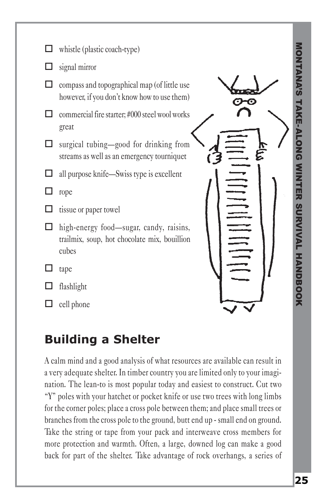| whistle (plastic coach-type)                                                                     |  |                  |
|--------------------------------------------------------------------------------------------------|--|------------------|
| signal mirror                                                                                    |  |                  |
| compass and topographical map (of little use<br>however, if you don't know how to use them)      |  | <b>NONTANA'S</b> |
| commercial fire starter; #000 steel wool works<br>great                                          |  | AKE-ALONG        |
| surgical tubing-good for drinking from<br>streams as well as an emergency tourniquet             |  |                  |
| all purpose knife—Swiss type is excellent                                                        |  |                  |
| rope                                                                                             |  | 피                |
| tissue or paper towel                                                                            |  |                  |
| high-energy food—sugar, candy, raisins,<br>trailmix, soup, hot chocolate mix, bouillion<br>cubes |  | <b>SURVIVAL</b>  |
| tape                                                                                             |  |                  |
| flashlight                                                                                       |  | <b>HANDBOOK</b>  |
| cell phone                                                                                       |  |                  |

#### **Building a Shelter**

A calm mind and a good analysis of what resources are available can result in a very adequate shelter. In timber country you are limited only to your imagination. The lean-to is most popular today and easiest to construct. Cut two "Y" poles with your hatchet or pocket knife or use two trees with long limbs for the corner poles; place a cross pole between them; and place small trees or branches from the cross pole to the ground, butt end up - small end on ground. Take the string or tape from your pack and interweave cross members for more protection and warmth. Often, a large, downed log can make a good back for part of the shelter. Take advantage of rock overhangs, a series of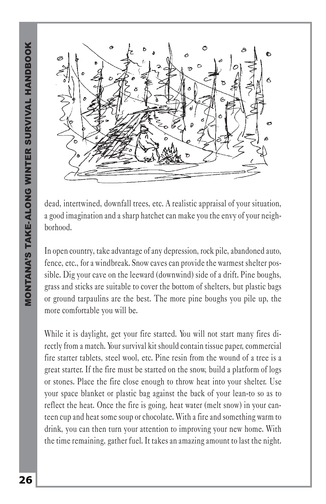

dead, intertwined, downfall trees, etc. A realistic appraisal of your situation, a good imagination and a sharp hatchet can make you the envy of your neighborhood.

In open country, take advantage of any depression, rock pile, abandoned auto, fence, etc., for a windbreak. Snow caves can provide the warmest shelter possible. Dig your cave on the leeward (downwind) side of a drift. Pine boughs, grass and sticks are suitable to cover the bottom of shelters, but plastic bags or ground tarpaulins are the best. The more pine boughs you pile up, the more comfortable you will be.

While it is daylight, get your fire started. You will not start many fires directly from a match. Your survival kit should contain tissue paper, commercial fire starter tablets, steel wool, etc. Pine resin from the wound of a tree is a great starter. If the fire must be started on the snow, build a platform of logs or stones. Place the fire close enough to throw heat into your shelter. Use your space blanket or plastic bag against the back of your lean-to so as to reflect the heat. Once the fire is going, heat water (melt snow) in your canteen cup and heat some soup or chocolate. With a fire and something warm to drink, you can then turn your attention to improving your new home. With the time remaining, gather fuel. It takes an amazing amount to last the night.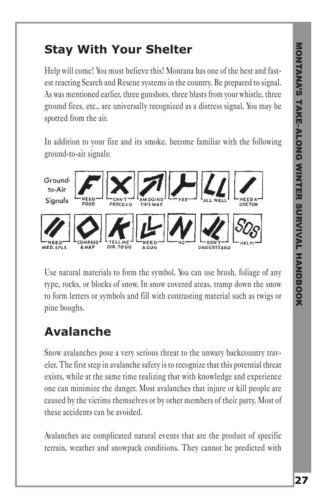#### **Stay With Your Shelter**

Help will come! You must believe this! Montana has one of the best and fastest reacting Search and Rescue systems in the country. Be prepared to signal. As was mentioned earlier, three gunshots, three blasts from your whistle, three ground fires, etc., are universally recognized as a distress signal. You may be spotted from the air.

In addition to your fire and its smoke, become familiar with the following ground-to-air signals:



Use natural materials to form the symbol. You can use brush, foliage of any type, rocks, or blocks of snow. In snow covered areas, tramp down the snow to form letters or symbols and fill with contrasting material such as twigs or pine boughs.

# **Avalanche**

Snow avalanches pose a very serious threat to the unwary backcountry traveler. The first step in avalanche safety is to recognize that this potential threat exists, while at the same time realizing that with knowledge and experience one can minimize the danger. Most avalanches that injure or kill people are caused by the victims themselves or by other members of their party. Most of these accidents can be avoided.

Avalanches are complicated natural events that are the product of specific terrain, weather and snowpack conditions. They cannot be predicted with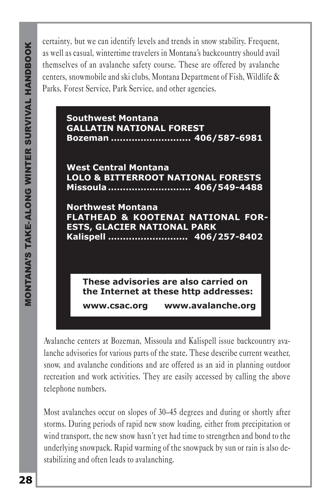certainty, but we can identify levels and trends in snow stability. Frequent, as well as casual, wintertime travelers in Montana's backcountry should avail themselves of an avalanche safety course. These are offered by avalanche centers, snowmobile and ski clubs, Montana Department of Fish, Wildlife & Parks, Forest Service, Park Service, and other agencies.



Avalanche centers at Bozeman, Missoula and Kalispell issue backcountry avalanche advisories for various parts of the state. These describe current weather, snow, and avalanche conditions and are offered as an aid in planning outdoor recreation and work activities. They are easily accessed by calling the above telephone numbers.

Most avalanches occur on slopes of 30–45 degrees and during or shortly after storms. During periods of rapid new snow loading, either from precipitation or wind transport, the new snow hasn't yet had time to strengthen and bond to the underlying snowpack. Rapid warming of the snowpack by sun or rain is also destabilizing and often leads to avalanching.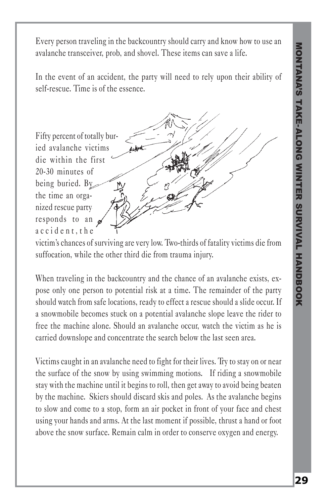Every person traveling in the backcountry should carry and know how to use an avalanche transceiver, prob, and shovel. These items can save a life.

In the event of an accident, the party will need to rely upon their ability of self-rescue. Time is of the essence.

Fifty percent of totally buried avalanche victims die within the first 20-30 minutes of being buried. By the time an organized rescue party responds to an accident,the

victim's chances of surviving are very low. Two-thirds of fatality victims die from suffocation, while the other third die from trauma injury.

When traveling in the backcountry and the chance of an avalanche exists, expose only one person to potential risk at a time. The remainder of the party should watch from safe locations, ready to effect a rescue should a slide occur. If a snowmobile becomes stuck on a potential avalanche slope leave the rider to free the machine alone. Should an avalanche occur, watch the victim as he is carried downslope and concentrate the search below the last seen area.

Victims caught in an avalanche need to fight for their lives. Try to stay on or near the surface of the snow by using swimming motions. If riding a snowmobile stay with the machine until it begins to roll, then get away to avoid being beaten by the machine. Skiers should discard skis and poles. As the avalanche begins to slow and come to a stop, form an air pocket in front of your face and chest using your hands and arms. At the last moment if possible, thrust a hand or foot above the snow surface. Remain calm in order to conserve oxygen and energy.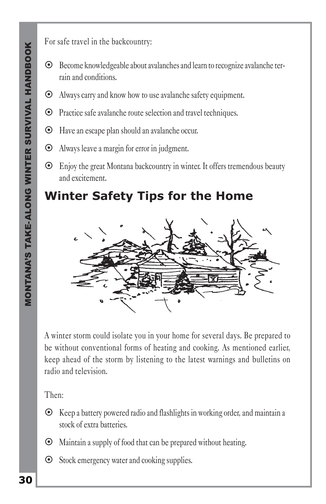For safe travel in the backcountry:

- ~ Become knowledgeable about avalanches and learn to recognize avalanche terrain and conditions.
- ~ Always carry and know how to use avalanche safety equipment.
- ~ Practice safe avalanche route selection and travel techniques.
- ~ Have an escape plan should an avalanche occur.
- ~ Always leave a margin for error in judgment.
- ~ Enjoy the great Montana backcountry in winter. It offers tremendous beauty and excitement.

#### **Winter Safety Tips for the Home**



A winter storm could isolate you in your home for several days. Be prepared to be without conventional forms of heating and cooking. As mentioned earlier, keep ahead of the storm by listening to the latest warnings and bulletins on radio and television.

Then:

- $\odot$  Keep a battery powered radio and flashlights in working order, and maintain a stock of extra batteries.
- $\odot$  Maintain a supply of food that can be prepared without heating.
- ~ Stock emergency water and cooking supplies.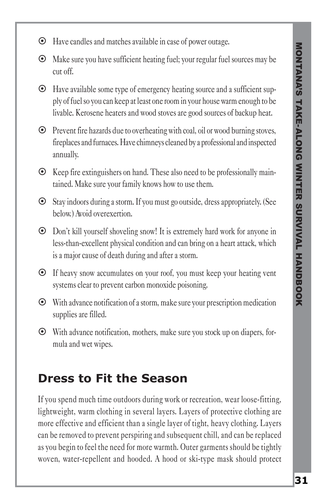- ~ Have candles and matches available in case of power outage.
- $\odot$  Make sure you have sufficient heating fuel; your regular fuel sources may be cut off.
- ~ Have available some type of emergency heating source and a sufficient supply of fuel so you can keep at least one room in your house warm enough to be livable. Kerosene heaters and wood stoves are good sources of backup heat.
- $\odot$  Prevent fire hazards due to overheating with coal, oil or wood burning stoves, fireplaces and furnaces. Have chimneys cleaned by a professional and inspected annually.
- $\odot$  Keep fire extinguishers on hand. These also need to be professionally maintained. Make sure your family knows how to use them.
- ~ Stay indoors during a storm. If you must go outside, dress appropriately. (See below.) Avoid overexertion.
- ~ Don't kill yourself shoveling snow! It is extremely hard work for anyone in less-than-excellent physical condition and can bring on a heart attack, which is a major cause of death during and after a storm.
- ~ If heavy snow accumulates on your roof, you must keep your heating vent systems clear to prevent carbon monoxide poisoning.
- $\odot$  With advance notification of a storm, make sure your prescription medication supplies are filled.
- ~ With advance notification, mothers, make sure you stock up on diapers, formula and wet wipes.

#### **Dress to Fit the Season**

If you spend much time outdoors during work or recreation, wear loose-fitting, lightweight, warm clothing in several layers. Layers of protective clothing are more effective and efficient than a single layer of tight, heavy clothing. Layers can be removed to prevent perspiring and subsequent chill, and can be replaced as you begin to feel the need for more warmth. Outer garments should be tightly woven, water-repellent and hooded. A hood or ski-type mask should protect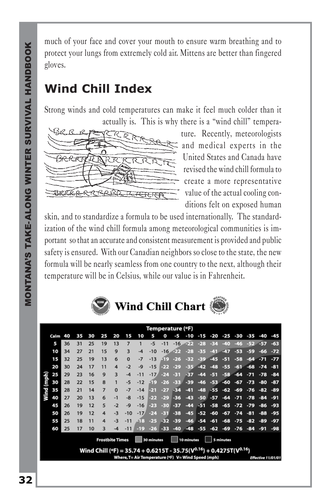much of your face and cover your mouth to ensure warm breathing and to protect your lungs from extremely cold air. Mittens are better than fingered gloves.

#### **Wind Chill Index**

Strong winds and cold temperatures can make it feel much colder than it actually is. This is why there is a "wind chill" tempera-



ture. Recently, meteorologists and medical experts in the United States and Canada have revised the wind chill formula to create a more representative value of the actual cooling conditions felt on exposed human

skin, and to standardize a formula to be used internationally. The standardization of the wind chill formula among meteorological communities is important so that an accurate and consistent measurement is provided and public safety is ensured. With our Canadian neighbors so close to the state, the new formula will be nearly seamless from one country to the next, although their temperature will be in Celsius, while our value is in Fahrenheit.



|                                                                                                                                                             | Temperature (°F) |    |    |    |                |          |          |       |        |       |       |       |       |        |       |       |       |       |       |
|-------------------------------------------------------------------------------------------------------------------------------------------------------------|------------------|----|----|----|----------------|----------|----------|-------|--------|-------|-------|-------|-------|--------|-------|-------|-------|-------|-------|
|                                                                                                                                                             | Calm             | 40 | 35 | 30 | 25             | 20       | 15       | 10    | 5      | o     | -5    | -10   | $-15$ | -20    | -25   | -30   | -35   | -40   | -45   |
|                                                                                                                                                             | 5                | 36 | 31 | 25 | 19             | 13       | 7        |       | $-5$   | $-11$ | $-16$ | بودي  | $-28$ | $-34$  | $-40$ | $-46$ | $-52$ | $-57$ | $-63$ |
|                                                                                                                                                             | 10               | 34 | 27 | 21 | 15             | 9        | 3        | $-4$  | $-10$  | $-16$ | DD.   | $-28$ | $-35$ | $-41$  | $-47$ | $-53$ | $-59$ | -66   | $-72$ |
|                                                                                                                                                             | 15               | 32 | 25 | 19 | 13             | 6        | $\bf{0}$ | $-7$  | $-13$  | 50    | $-26$ | $-32$ | $-39$ | $-45$  | $-51$ | $-58$ | $-64$ | $-71$ | $-77$ |
|                                                                                                                                                             | 20               | 30 | 24 | 17 | 11             | 4        | $-2$     | $-9$  | $-15$  | -22   | $-29$ | $-35$ | $-42$ | $-48$  | $-55$ | $-61$ | $-68$ | $-74$ | $-81$ |
|                                                                                                                                                             | 25               | 29 | 23 | 16 | 9              | 3        | $-4$     | $-11$ | $-17/$ | $-24$ | $-31$ | -37   | $-44$ | $-51$  | $-58$ | $-64$ | $-71$ | $-78$ | $-84$ |
| (mph)                                                                                                                                                       | 30               | 28 | 22 | 15 | 8              |          | -5       | $-12$ | -19    | $-26$ | $-33$ | $-39$ | $-46$ | $-53.$ | $-60$ | $-67$ | $-73$ | $-80$ | -87   |
| Wind                                                                                                                                                        | 35               | 28 | 21 | 14 | $\overline{7}$ | $\Omega$ | $-7$     | $-14$ | -21    | $-27$ | $-34$ | $-41$ | $-48$ | $-55$  | $-62$ | $-69$ | $-76$ | $-82$ | $-89$ |
|                                                                                                                                                             | 40               | 27 | 20 | 13 | 6              | $-1$     | -8       | $-15$ | $-22$  | $-29$ | $-36$ | $-43$ | $-50$ | $-57$  | $-64$ | $-71$ | $-78$ | $-84$ | -91   |
|                                                                                                                                                             | 45               | 26 | 19 | 12 | 5              | $-2$     | $-Q$     | $-16$ | -23    | $-30$ | $-37$ | $-44$ | $-51$ | $-58$  | $-65$ | $-72$ | $-79$ | -86   | $-93$ |
|                                                                                                                                                             | 50               | 26 | 19 | 12 | 4              | $-3$     | $-10$    | $-17$ | $-24$  | $-31$ | $-38$ | $-45$ | $-52$ | $-60$  | $-67$ | $-74$ | $-81$ | $-88$ | $-95$ |
|                                                                                                                                                             | 55               | 25 | 18 | 11 | 4              | $-3$     | $-11$    | 18    | $-25$  | $-32$ | $-39$ | $-46$ | $-54$ | $-61$  | $-68$ | $-75$ | $-82$ | -89   | $-97$ |
|                                                                                                                                                             | 60               | 25 | 17 | 10 | 3              | $-4$     | $-11$    | $-19$ | $-26$  | -33   | $-40$ | $-48$ | $-55$ | $-62$  | -69   | $-76$ | $-84$ | $-91$ | -98   |
| <b>Frostbite Times</b><br>30 minutes<br>10 minutes<br>5 minutes                                                                                             |                  |    |    |    |                |          |          |       |        |       |       |       |       |        |       |       |       |       |       |
|                                                                                                                                                             |                  |    |    |    |                |          |          |       |        |       |       |       |       |        |       |       |       |       |       |
| Wind Chill (°F) = 35.74 + 0.6215T - 35.75( $V^{0.16}$ ) + 0.4275T( $V^{0.16}$ )<br>Where, T= Air Temperature (°F) V= Wind Speed (mph)<br>Effective 11/01/01 |                  |    |    |    |                |          |          |       |        |       |       |       |       |        |       |       |       |       |       |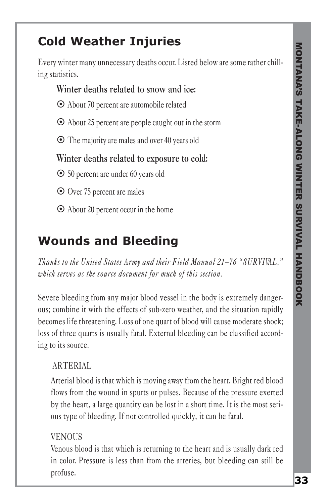## **Cold Weather Injuries**

Every winter many unnecessary deaths occur. Listed below are some rather chilling statistics.

#### **Winter deaths related to snow and ice:**

- ~ About 70 percent are automobile related
- $\odot$  About 25 percent are people caught out in the storm
- $\odot$  The majority are males and over 40 years old

#### **Winter deaths related to exposure to cold:**

~ 50 percent are under 60 years old

~ Over 75 percent are males

 $\odot$  About 20 percent occur in the home

#### **Wounds and Bleeding**

*Thanks to the United States Army and their Field Manual 21–76 "SURVIVAL," which serves as the source document for much of this section.*

Severe bleeding from any major blood vessel in the body is extremely dangerous; combine it with the effects of sub-zero weather, and the situation rapidly becomes life threatening. Loss of one quart of blood will cause moderate shock; loss of three quarts is usually fatal. External bleeding can be classified according to its source.

#### ARTERIAL

Arterial blood is that which is moving away from the heart. Bright red blood flows from the wound in spurts or pulses. Because of the pressure exerted by the heart, a large quantity can be lost in a short time. It is the most serious type of bleeding. If not controlled quickly, it can be fatal.

#### **VENOUS**

Venous blood is that which is returning to the heart and is usually dark red in color. Pressure is less than from the arteries, but bleeding can still be profuse.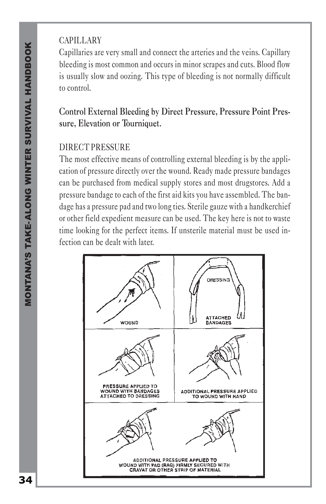#### CAPILLARY

Capillaries are very small and connect the arteries and the veins. Capillary bleeding is most common and occurs in minor scrapes and cuts. Blood flow is usually slow and oozing. This type of bleeding is not normally difficult to control.

#### **Control External Bleeding by Direct Pressure, Pressure Point Pressure, Elevation or Tourniquet.**

#### DIRECT PRESSURE

The most effective means of controlling external bleeding is by the application of pressure directly over the wound. Ready made pressure bandages can be purchased from medical supply stores and most drugstores. Add a pressure bandage to each of the first aid kits you have assembled. The bandage has a pressure pad and two long ties. Sterile gauze with a handkerchief or other field expedient measure can be used. The key here is not to waste time looking for the perfect items. If unsterile material must be used infection can be dealt with later.

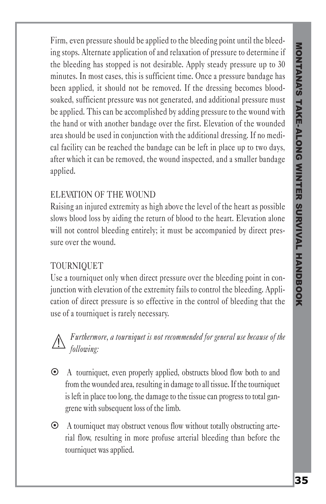Firm, even pressure should be applied to the bleeding point until the bleeding stops. Alternate application of and relaxation of pressure to determine if the bleeding has stopped is not desirable. Apply steady pressure up to 30 minutes. In most cases, this is sufficient time. Once a pressure bandage has been applied, it should not be removed. If the dressing becomes bloodsoaked, sufficient pressure was not generated, and additional pressure must be applied. This can be accomplished by adding pressure to the wound with the hand or with another bandage over the first. Elevation of the wounded area should be used in conjunction with the additional dressing. If no medical facility can be reached the bandage can be left in place up to two days, after which it can be removed, the wound inspected, and a smaller bandage applied.

#### ELEVATION OF THE WOUND

Raising an injured extremity as high above the level of the heart as possible slows blood loss by aiding the return of blood to the heart. Elevation alone will not control bleeding entirely; it must be accompanied by direct pressure over the wound.

#### TOURNIQUET

Use a tourniquet only when direct pressure over the bleeding point in conjunction with elevation of the extremity fails to control the bleeding. Application of direct pressure is so effective in the control of bleeding that the use of a tourniquet is rarely necessary.

#### *Furthermore, a tourniquet is not recommended for general use because of the following:*

- ~ A tourniquet, even properly applied, obstructs blood flow both to and from the wounded area, resulting in damage to all tissue. If the tourniquet is left in place too long, the damage to the tissue can progress to total gangrene with subsequent loss of the limb.
- ~ A tourniquet may obstruct venous flow without totally obstructing arterial flow, resulting in more profuse arterial bleeding than before the tourniquet was applied.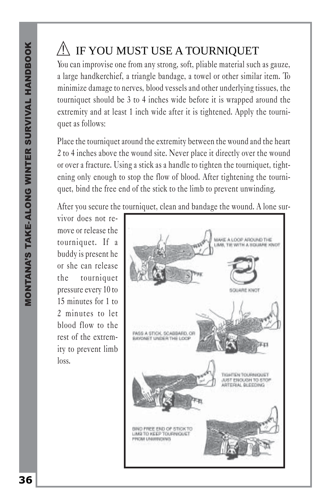#### IF YOU MUST USE A TOURNIQUET

You can improvise one from any strong, soft, pliable material such as gauze, a large handkerchief, a triangle bandage, a towel or other similar item. To minimize damage to nerves, blood vessels and other underlying tissues, the tourniquet should be 3 to 4 inches wide before it is wrapped around the extremity and at least 1 inch wide after it is tightened. Apply the tourniquet as follows:

Place the tourniquet around the extremity between the wound and the heart 2 to 4 inches above the wound site. Never place it directly over the wound or over a fracture. Using a stick as a handle to tighten the tourniquet, tightening only enough to stop the flow of blood. After tightening the tourniquet, bind the free end of the stick to the limb to prevent unwinding.

After you secure the tourniquet, clean and bandage the wound. A lone sur-

vivor does not remove or release the tourniquet. If a buddy is present he or she can release the tourniquet pressure every 10 to 15 minutes for 1 to 2 minutes to let blood flow to the rest of the extremity to prevent limb loss.

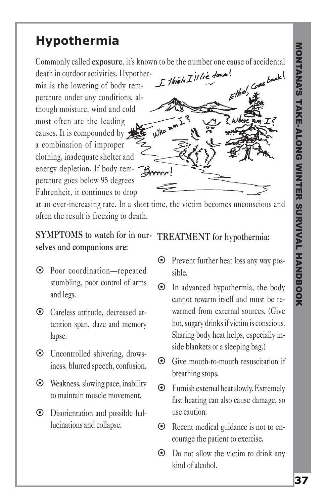#### **Hypothermia**

death in outdoor activities. Hypothermia is the lowering of body temperature under any conditions, although moisture, wind and cold most often are the leading causes. It is compounded by a combination of improper clothing, inadequate shelter and energy depletion. If body temperature goes below 95 degrees Fahrenheit, it continues to drop



at an ever-increasing rate. In a short time, the victim becomes unconscious and often the result is freezing to death.

#### **SYMPTOMS to watch for in our-TREATMENT for hypothermia: selves and companions are:**

- ~ Poor coordination—repeated stumbling, poor control of arms and legs.
- ~ Careless attitude, decreased attention span, daze and memory lapse.
- ~ Uncontrolled shivering, drowsiness, blurred speech, confusion.
- $\odot$  Weakness, slowing pace, inability to maintain muscle movement.
- ~ Disorientation and possible hallucinations and collapse.

- ~ Prevent further heat loss any way possible.
- $\odot$  In advanced hypothermia, the body cannot rewarm itself and must be rewarmed from external sources. (Give hot, sugary drinks if victim is conscious. Sharing body heat helps, especially inside blankets or a sleeping bag.)
- ~ Give mouth-to-mouth resuscitation if breathing stops.
- $\odot$  Furnish external heat slowly. Extremely fast heating can also cause damage, so use caution.
- ~ Recent medical guidance is not to encourage the patient to exercise.
- $\odot$  Do not allow the victim to drink any kind of alcohol.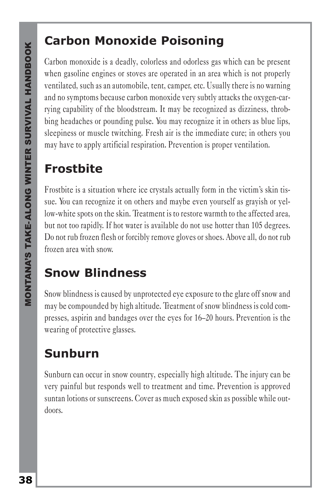#### **Carbon Monoxide Poisoning**

Carbon monoxide is a deadly, colorless and odorless gas which can be present when gasoline engines or stoves are operated in an area which is not properly ventilated, such as an automobile, tent, camper, etc. Usually there is no warning and no symptoms because carbon monoxide very subtly attacks the oxygen-carrying capability of the bloodstream. It may be recognized as dizziness, throbbing headaches or pounding pulse. You may recognize it in others as blue lips, sleepiness or muscle twitching. Fresh air is the immediate cure; in others you may have to apply artificial respiration. Prevention is proper ventilation.

#### **Frostbite**

Frostbite is a situation where ice crystals actually form in the victim's skin tissue. You can recognize it on others and maybe even yourself as grayish or yellow-white spots on the skin. Treatment is to restore warmth to the affected area, but not too rapidly. If hot water is available do not use hotter than 105 degrees. Do not rub frozen flesh or forcibly remove gloves or shoes. Above all, do not rub frozen area with snow.

#### **Snow Blindness**

Snow blindness is caused by unprotected eye exposure to the glare off snow and may be compounded by high altitude. Treatment of snow blindness is cold compresses, aspirin and bandages over the eyes for 16–20 hours. Prevention is the wearing of protective glasses.

# **Sunburn**

Sunburn can occur in snow country, especially high altitude. The injury can be very painful but responds well to treatment and time. Prevention is approved suntan lotions or sunscreens. Cover as much exposed skin as possible while outdoors.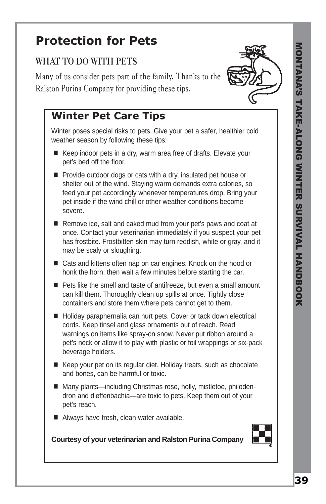#### **Protection for Pets**

#### **WHAT TO DO WITH PETS**

Many of us consider pets part of the family. Thanks to the Ralston Purina Company for providing these tips.



Winter poses special risks to pets. Give your pet a safer, healthier cold weather season by following these tips:

- Keep indoor pets in a dry, warm area free of drafts. Elevate your pet's bed off the floor.
- Provide outdoor dogs or cats with a dry, insulated pet house or shelter out of the wind. Staying warm demands extra calories, so feed your pet accordingly whenever temperatures drop. Bring your pet inside if the wind chill or other weather conditions become severe.
- Remove ice, salt and caked mud from your pet's paws and coat at once. Contact your veterinarian immediately if you suspect your pet has frostbite. Frostbitten skin may turn reddish, white or gray, and it may be scaly or sloughing.
- Cats and kittens often nap on car engines. Knock on the hood or honk the horn; then wait a few minutes before starting the car.
- Pets like the smell and taste of antifreeze, but even a small amount can kill them. Thoroughly clean up spills at once. Tightly close containers and store them where pets cannot get to them.
- Holiday paraphernalia can hurt pets. Cover or tack down electrical cords. Keep tinsel and glass ornaments out of reach. Read warnings on items like spray-on snow. Never put ribbon around a pet's neck or allow it to play with plastic or foil wrappings or six-pack beverage holders.
- Keep your pet on its regular diet. Holiday treats, such as chocolate and bones, can be harmful or toxic.
- Many plants—including Christmas rose, holly, mistletoe, philodendron and dieffenbachia—are toxic to pets. Keep them out of your pet's reach.
- Always have fresh, clean water available.



**Courtesy of your veterinarian and Ralston Purina Company**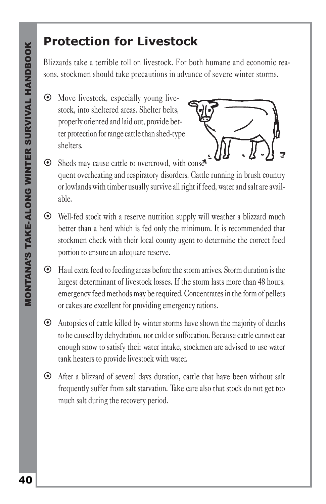#### **Protection for Livestock**

Blizzards take a terrible toll on livestock. For both humane and economic reasons, stockmen should take precautions in advance of severe winter storms.

 $\odot$  Move livestock, especially young livestock, into sheltered areas. Shelter belts, properly oriented and laid out, provide better protection for range cattle than shed-type shelters.



- ⊙ Sheds may cause cattle to overcrowd, with conse quent overheating and respiratory disorders. Cattle running in brush country or lowlands with timber usually survive all right if feed, water and salt are available.
- ~ Well-fed stock with a reserve nutrition supply will weather a blizzard much better than a herd which is fed only the minimum. It is recommended that stockmen check with their local county agent to determine the correct feed portion to ensure an adequate reserve.
- ~ Haul extra feed to feeding areas before the storm arrives. Storm duration is the largest determinant of livestock losses. If the storm lasts more than 48 hours, emergency feed methods may be required. Concentrates in the form of pellets or cakes are excellent for providing emergency rations.
- $\odot$  Autopsies of cattle killed by winter storms have shown the majority of deaths to be caused by dehydration, not cold or suffocation. Because cattle cannot eat enough snow to satisfy their water intake, stockmen are advised to use water tank heaters to provide livestock with water.
- ~ After a blizzard of several days duration, cattle that have been without salt frequently suffer from salt starvation. Take care also that stock do not get too much salt during the recovery period.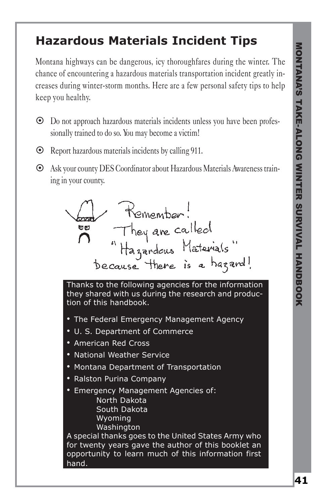### **Hazardous Materials Incident Tips**

Montana highways can be dangerous, icy thoroughfares during the winter. The chance of encountering a hazardous materials transportation incident greatly increases during winter-storm months. Here are a few personal safety tips to help keep you healthy.

- ~ Do not approach hazardous materials incidents unless you have been professionally trained to do so. You may become a victim!
- $\odot$  Report hazardous materials incidents by calling 911.
- ~ Ask your county DES Coordinator about Hazardous Materials Awareness training in your county.



Thanks to the following agencies for the information they shared with us during the research and production of this handbook.

- The Federal Emergency Management Agency
- U. S. Department of Commerce
- American Red Cross
- National Weather Service
- Montana Department of Transportation
- Ralston Purina Company
- Emergency Management Agencies of: North Dakota South Dakota Wyoming Washington

A special thanks goes to the United States Army who for twenty years gave the author of this booklet an opportunity to learn much of this information first hand.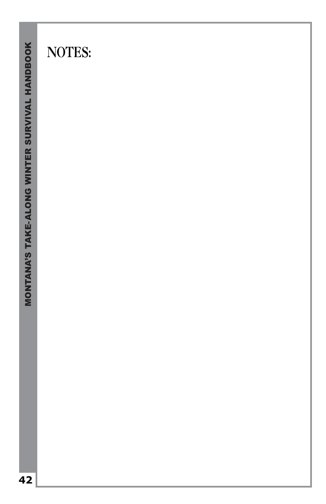# **NOTES:**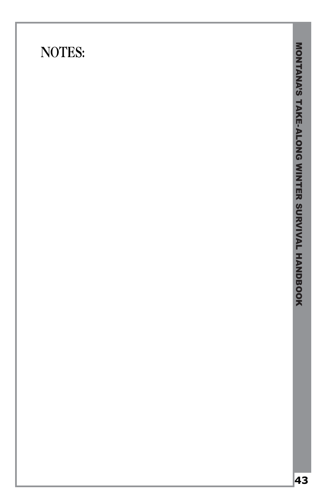# **NOTES:**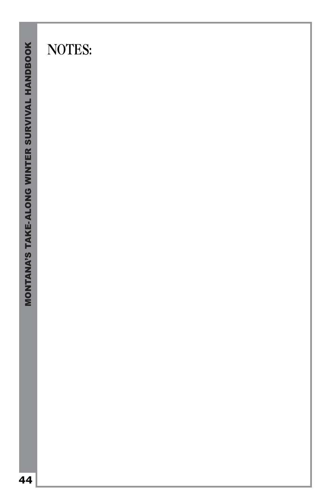# **NOTES:**